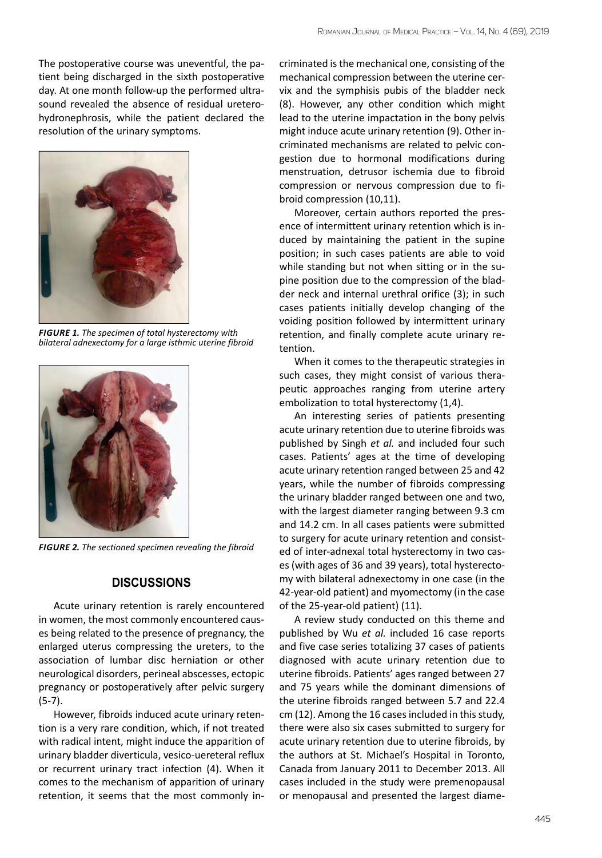The postoperative course was uneventful, the patient being discharged in the sixth postoperative day. At one month follow-up the performed ultrasound revealed the absence of residual ureterohydronephrosis, while the patient declared the resolution of the urinary symptoms.



*Figure 1. The specimen of total hysterectomy with bilateral adnexectomy for a large isthmic uterine fibroid*



*Figure 2. The sectioned specimen revealing the fibroid*

## **Discussions**

Acute urinary retention is rarely encountered in women, the most commonly encountered causes being related to the presence of pregnancy, the enlarged uterus compressing the ureters, to the association of lumbar disc herniation or other neurological disorders, perineal abscesses, ectopic pregnancy or postoperatively after pelvic surgery (5-7).

However, fibroids induced acute urinary retention is a very rare condition, which, if not treated with radical intent, might induce the apparition of urinary bladder diverticula, vesico-uereteral reflux or recurrent urinary tract infection (4). When it comes to the mechanism of apparition of urinary retention, it seems that the most commonly incriminated is the mechanical one, consisting of the mechanical compression between the uterine cervix and the symphisis pubis of the bladder neck (8). However, any other condition which might lead to the uterine impactation in the bony pelvis might induce acute urinary retention (9). Other incriminated mechanisms are related to pelvic congestion due to hormonal modifications during menstruation, detrusor ischemia due to fibroid compression or nervous compression due to fibroid compression (10,11).

Moreover, certain authors reported the presence of intermittent urinary retention which is induced by maintaining the patient in the supine position; in such cases patients are able to void while standing but not when sitting or in the supine position due to the compression of the bladder neck and internal urethral orifice (3); in such cases patients initially develop changing of the voiding position followed by intermittent urinary retention, and finally complete acute urinary retention.

When it comes to the therapeutic strategies in such cases, they might consist of various therapeutic approaches ranging from uterine artery embolization to total hysterectomy (1,4).

An interesting series of patients presenting acute urinary retention due to uterine fibroids was published by Singh *et al.* and included four such cases. Patients' ages at the time of developing acute urinary retention ranged between 25 and 42 years, while the number of fibroids compressing the urinary bladder ranged between one and two, with the largest diameter ranging between 9.3 cm and 14.2 cm. In all cases patients were submitted to surgery for acute urinary retention and consisted of inter-adnexal total hysterectomy in two cases (with ages of 36 and 39 years), total hysterectomy with bilateral adnexectomy in one case (in the 42-year-old patient) and myomectomy (in the case of the 25-year-old patient) (11).

A review study conducted on this theme and published by Wu *et al.* included 16 case reports and five case series totalizing 37 cases of patients diagnosed with acute urinary retention due to uterine fibroids. Patients' ages ranged between 27 and 75 years while the dominant dimensions of the uterine fibroids ranged between 5.7 and 22.4 cm (12). Among the 16 cases included in this study, there were also six cases submitted to surgery for acute urinary retention due to uterine fibroids, by the authors at St. Michael's Hospital in Toronto, Canada from January 2011 to December 2013. All cases included in the study were premenopausal or menopausal and presented the largest diame